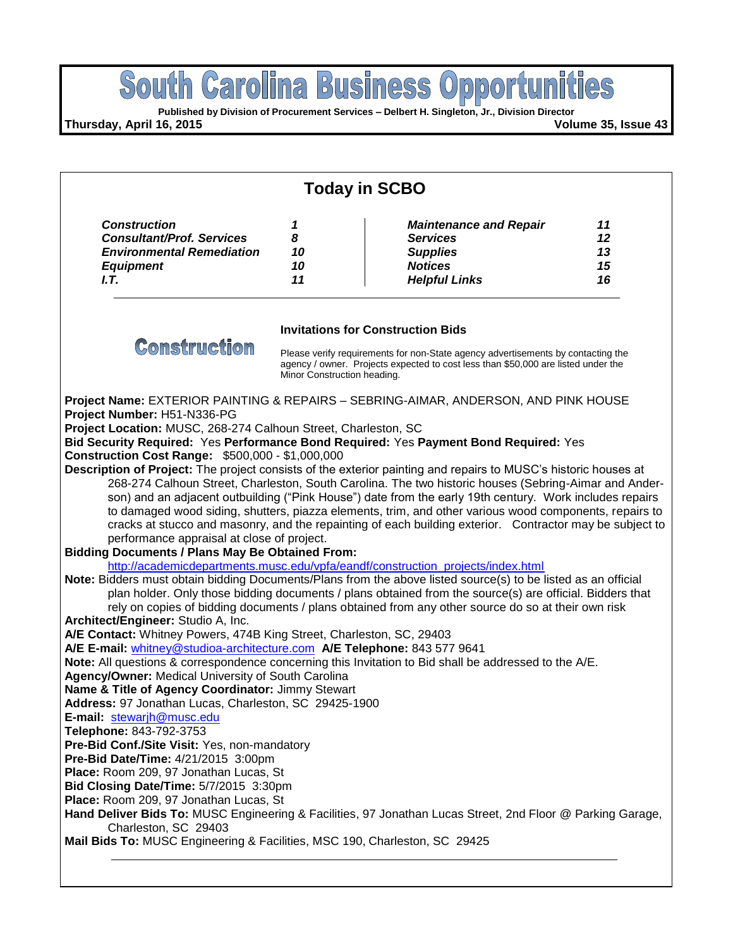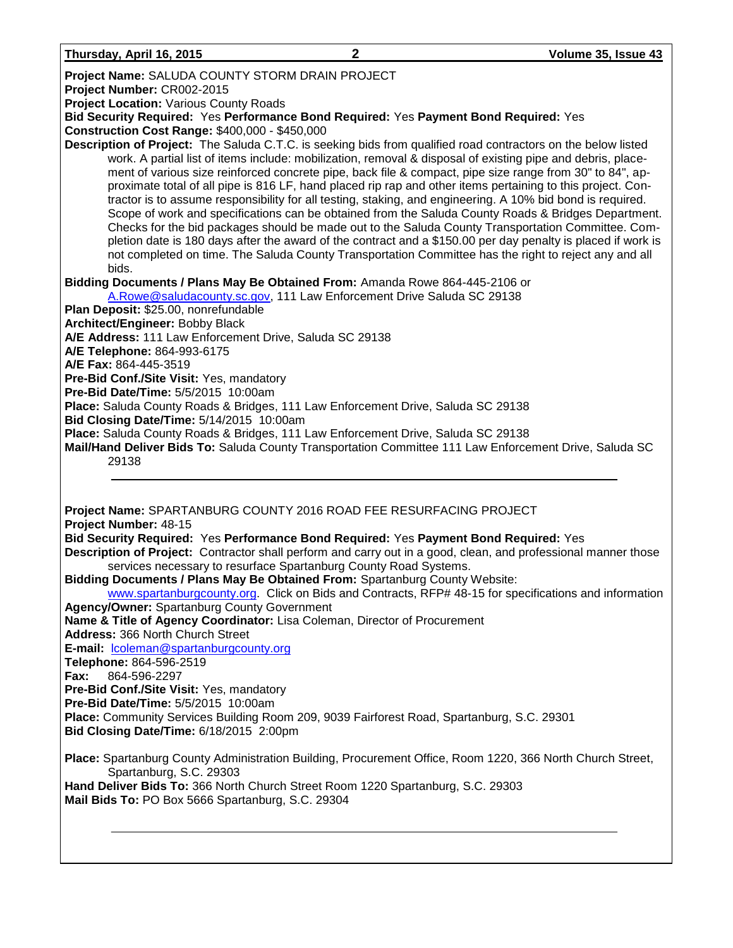| Thursday, April 16, 2015 |  |  |
|--------------------------|--|--|
|                          |  |  |

| <b>Project Name: SALUDA COUNTY STORM DRAIN PROJECT</b>                                                                                                                                                                                                                                                                                                                                                                                                                                                                                                                                                                                                                                                                                                                                                                                                                                                                                                                                                               |
|----------------------------------------------------------------------------------------------------------------------------------------------------------------------------------------------------------------------------------------------------------------------------------------------------------------------------------------------------------------------------------------------------------------------------------------------------------------------------------------------------------------------------------------------------------------------------------------------------------------------------------------------------------------------------------------------------------------------------------------------------------------------------------------------------------------------------------------------------------------------------------------------------------------------------------------------------------------------------------------------------------------------|
| Project Number: CR002-2015                                                                                                                                                                                                                                                                                                                                                                                                                                                                                                                                                                                                                                                                                                                                                                                                                                                                                                                                                                                           |
| <b>Project Location: Various County Roads</b>                                                                                                                                                                                                                                                                                                                                                                                                                                                                                                                                                                                                                                                                                                                                                                                                                                                                                                                                                                        |
| Bid Security Required: Yes Performance Bond Required: Yes Payment Bond Required: Yes                                                                                                                                                                                                                                                                                                                                                                                                                                                                                                                                                                                                                                                                                                                                                                                                                                                                                                                                 |
| Construction Cost Range: \$400,000 - \$450,000                                                                                                                                                                                                                                                                                                                                                                                                                                                                                                                                                                                                                                                                                                                                                                                                                                                                                                                                                                       |
| Description of Project: The Saluda C.T.C. is seeking bids from qualified road contractors on the below listed<br>work. A partial list of items include: mobilization, removal & disposal of existing pipe and debris, place-<br>ment of various size reinforced concrete pipe, back file & compact, pipe size range from 30" to 84", ap-<br>proximate total of all pipe is 816 LF, hand placed rip rap and other items pertaining to this project. Con-<br>tractor is to assume responsibility for all testing, staking, and engineering. A 10% bid bond is required.<br>Scope of work and specifications can be obtained from the Saluda County Roads & Bridges Department.<br>Checks for the bid packages should be made out to the Saluda County Transportation Committee. Com-<br>pletion date is 180 days after the award of the contract and a \$150.00 per day penalty is placed if work is<br>not completed on time. The Saluda County Transportation Committee has the right to reject any and all<br>bids. |
| Bidding Documents / Plans May Be Obtained From: Amanda Rowe 864-445-2106 or                                                                                                                                                                                                                                                                                                                                                                                                                                                                                                                                                                                                                                                                                                                                                                                                                                                                                                                                          |
| A.Rowe@saludacounty.sc.gov, 111 Law Enforcement Drive Saluda SC 29138                                                                                                                                                                                                                                                                                                                                                                                                                                                                                                                                                                                                                                                                                                                                                                                                                                                                                                                                                |
| Plan Deposit: \$25.00, nonrefundable                                                                                                                                                                                                                                                                                                                                                                                                                                                                                                                                                                                                                                                                                                                                                                                                                                                                                                                                                                                 |
| Architect/Engineer: Bobby Black                                                                                                                                                                                                                                                                                                                                                                                                                                                                                                                                                                                                                                                                                                                                                                                                                                                                                                                                                                                      |
| A/E Address: 111 Law Enforcement Drive, Saluda SC 29138                                                                                                                                                                                                                                                                                                                                                                                                                                                                                                                                                                                                                                                                                                                                                                                                                                                                                                                                                              |
| A/E Telephone: 864-993-6175                                                                                                                                                                                                                                                                                                                                                                                                                                                                                                                                                                                                                                                                                                                                                                                                                                                                                                                                                                                          |
| A/E Fax: 864-445-3519                                                                                                                                                                                                                                                                                                                                                                                                                                                                                                                                                                                                                                                                                                                                                                                                                                                                                                                                                                                                |
| Pre-Bid Conf./Site Visit: Yes, mandatory                                                                                                                                                                                                                                                                                                                                                                                                                                                                                                                                                                                                                                                                                                                                                                                                                                                                                                                                                                             |
| Pre-Bid Date/Time: 5/5/2015 10:00am<br>Place: Saluda County Roads & Bridges, 111 Law Enforcement Drive, Saluda SC 29138                                                                                                                                                                                                                                                                                                                                                                                                                                                                                                                                                                                                                                                                                                                                                                                                                                                                                              |
| Bid Closing Date/Time: 5/14/2015 10:00am                                                                                                                                                                                                                                                                                                                                                                                                                                                                                                                                                                                                                                                                                                                                                                                                                                                                                                                                                                             |
| Place: Saluda County Roads & Bridges, 111 Law Enforcement Drive, Saluda SC 29138                                                                                                                                                                                                                                                                                                                                                                                                                                                                                                                                                                                                                                                                                                                                                                                                                                                                                                                                     |
| Mail/Hand Deliver Bids To: Saluda County Transportation Committee 111 Law Enforcement Drive, Saluda SC                                                                                                                                                                                                                                                                                                                                                                                                                                                                                                                                                                                                                                                                                                                                                                                                                                                                                                               |
| 29138                                                                                                                                                                                                                                                                                                                                                                                                                                                                                                                                                                                                                                                                                                                                                                                                                                                                                                                                                                                                                |
| Project Name: SPARTANBURG COUNTY 2016 ROAD FEE RESURFACING PROJECT                                                                                                                                                                                                                                                                                                                                                                                                                                                                                                                                                                                                                                                                                                                                                                                                                                                                                                                                                   |
| Project Number: 48-15                                                                                                                                                                                                                                                                                                                                                                                                                                                                                                                                                                                                                                                                                                                                                                                                                                                                                                                                                                                                |
| Bid Security Required: Yes Performance Bond Required: Yes Payment Bond Required: Yes                                                                                                                                                                                                                                                                                                                                                                                                                                                                                                                                                                                                                                                                                                                                                                                                                                                                                                                                 |
| Description of Project: Contractor shall perform and carry out in a good, clean, and professional manner those<br>services necessary to resurface Spartanburg County Road Systems.                                                                                                                                                                                                                                                                                                                                                                                                                                                                                                                                                                                                                                                                                                                                                                                                                                   |
| Bidding Documents / Plans May Be Obtained From: Spartanburg County Website:                                                                                                                                                                                                                                                                                                                                                                                                                                                                                                                                                                                                                                                                                                                                                                                                                                                                                                                                          |
| www.spartanburgcounty.org. Click on Bids and Contracts, RFP# 48-15 for specifications and information                                                                                                                                                                                                                                                                                                                                                                                                                                                                                                                                                                                                                                                                                                                                                                                                                                                                                                                |
| <b>Agency/Owner: Spartanburg County Government</b>                                                                                                                                                                                                                                                                                                                                                                                                                                                                                                                                                                                                                                                                                                                                                                                                                                                                                                                                                                   |
| Name & Title of Agency Coordinator: Lisa Coleman, Director of Procurement                                                                                                                                                                                                                                                                                                                                                                                                                                                                                                                                                                                                                                                                                                                                                                                                                                                                                                                                            |
| Address: 366 North Church Street                                                                                                                                                                                                                                                                                                                                                                                                                                                                                                                                                                                                                                                                                                                                                                                                                                                                                                                                                                                     |

**E-mail:** [lcoleman@spartanburgcounty.org](mailto:lcoleman@spartanburgcounty.org)

**Telephone:** 864-596-2519

**Fax:** 864-596-2297

**Pre-Bid Conf./Site Visit:** Yes, mandatory

**Pre-Bid Date/Time:** 5/5/2015 10:00am

**Place:** Community Services Building Room 209, 9039 Fairforest Road, Spartanburg, S.C. 29301

**Bid Closing Date/Time:** 6/18/2015 2:00pm

**Place:** Spartanburg County Administration Building, Procurement Office, Room 1220, 366 North Church Street, Spartanburg, S.C. 29303

**Hand Deliver Bids To:** 366 North Church Street Room 1220 Spartanburg, S.C. 29303 **Mail Bids To:** PO Box 5666 Spartanburg, S.C. 29304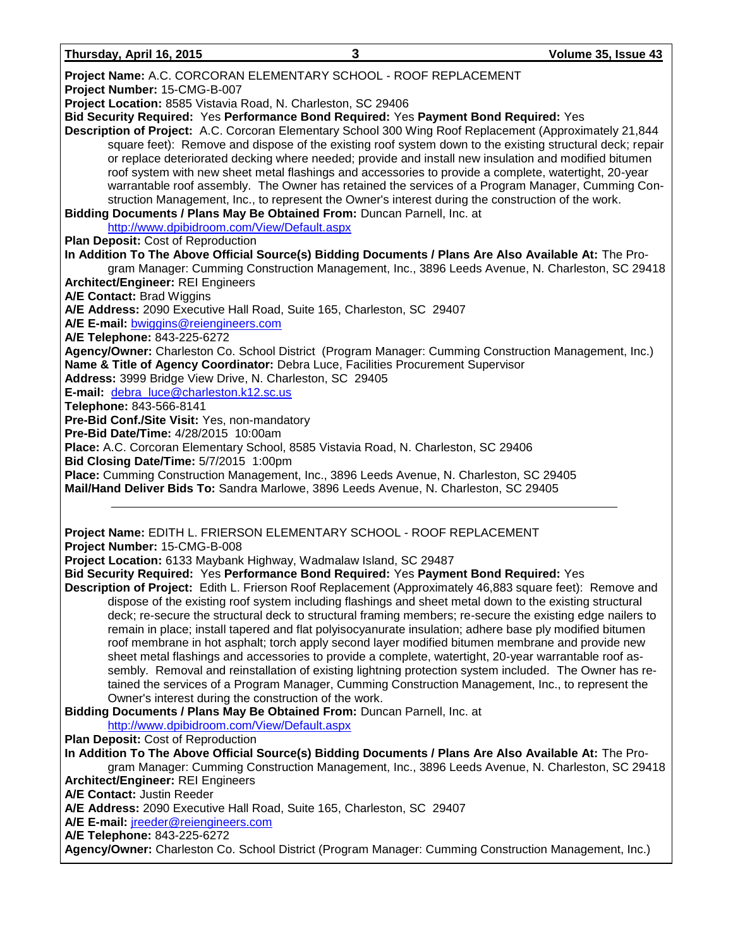| Thursday, April 16, 2015 |
|--------------------------|
|--------------------------|

**Project Number:** 15-CMG-B-007 **Project Location:** 8585 Vistavia Road, N. Charleston, SC 29406 **Bid Security Required:** Yes **Performance Bond Required:** Yes **Payment Bond Required:** Yes **Description of Project:** A.C. Corcoran Elementary School 300 Wing Roof Replacement (Approximately 21,844 square feet): Remove and dispose of the existing roof system down to the existing structural deck; repair or replace deteriorated decking where needed; provide and install new insulation and modified bitumen

roof system with new sheet metal flashings and accessories to provide a complete, watertight, 20-year warrantable roof assembly. The Owner has retained the services of a Program Manager, Cumming Construction Management, Inc., to represent the Owner's interest during the construction of the work.

**Bidding Documents / Plans May Be Obtained From:** Duncan Parnell, Inc. at

<http://www.dpibidroom.com/View/Default.aspx>

**Plan Deposit:** Cost of Reproduction

**In Addition To The Above Official Source(s) Bidding Documents / Plans Are Also Available At:** The Program Manager: Cumming Construction Management, Inc., 3896 Leeds Avenue, N. Charleston, SC 29418 **Architect/Engineer:** REI Engineers **A/E Contact:** Brad Wiggins **A/E Address:** 2090 Executive Hall Road, Suite 165, Charleston, SC 29407 **A/E E-mail:** [bwiggins@reiengineers.com](mailto:bwiggins@reiengineers.com)

**A/E Telephone:** 843-225-6272

**Agency/Owner:** Charleston Co. School District (Program Manager: Cumming Construction Management, Inc.) **Name & Title of Agency Coordinator:** Debra Luce, Facilities Procurement Supervisor

**Address:** 3999 Bridge View Drive, N. Charleston, SC 29405

**E-mail:** [debra\\_luce@charleston.k12.sc.us](mailto:debra_luce@charleston.k12.sc.us)

**Telephone:** 843-566-8141

**Pre-Bid Conf./Site Visit:** Yes, non-mandatory

**Pre-Bid Date/Time:** 4/28/2015 10:00am

**Place:** A.C. Corcoran Elementary School, 8585 Vistavia Road, N. Charleston, SC 29406

**Bid Closing Date/Time:** 5/7/2015 1:00pm

**Place:** Cumming Construction Management, Inc., 3896 Leeds Avenue, N. Charleston, SC 29405 **Mail/Hand Deliver Bids To:** Sandra Marlowe, 3896 Leeds Avenue, N. Charleston, SC 29405

# **Project Name:** EDITH L. FRIERSON ELEMENTARY SCHOOL - ROOF REPLACEMENT **Project Number:** 15-CMG-B-008

**Project Location:** 6133 Maybank Highway, Wadmalaw Island, SC 29487

**Bid Security Required:** Yes **Performance Bond Required:** Yes **Payment Bond Required:** Yes

**Description of Project:** Edith L. Frierson Roof Replacement (Approximately 46,883 square feet): Remove and dispose of the existing roof system including flashings and sheet metal down to the existing structural deck; re-secure the structural deck to structural framing members; re-secure the existing edge nailers to remain in place; install tapered and flat polyisocyanurate insulation; adhere base ply modified bitumen roof membrane in hot asphalt; torch apply second layer modified bitumen membrane and provide new sheet metal flashings and accessories to provide a complete, watertight, 20-year warrantable roof assembly. Removal and reinstallation of existing lightning protection system included. The Owner has retained the services of a Program Manager, Cumming Construction Management, Inc., to represent the Owner's interest during the construction of the work.

**Bidding Documents / Plans May Be Obtained From:** Duncan Parnell, Inc. at

# <http://www.dpibidroom.com/View/Default.aspx>

**Plan Deposit:** Cost of Reproduction

**In Addition To The Above Official Source(s) Bidding Documents / Plans Are Also Available At:** The Program Manager: Cumming Construction Management, Inc., 3896 Leeds Avenue, N. Charleston, SC 29418 **Architect/Engineer:** REI Engineers **A/E Contact:** Justin Reeder

**A/E Address:** 2090 Executive Hall Road, Suite 165, Charleston, SC 29407

**A/E E-mail:** [jreeder@reiengineers.com](mailto:jreeder@reiengineers.com)

**A/E Telephone:** 843-225-6272

**Agency/Owner:** Charleston Co. School District (Program Manager: Cumming Construction Management, Inc.)

**Project Name:** A.C. CORCORAN ELEMENTARY SCHOOL - ROOF REPLACEMENT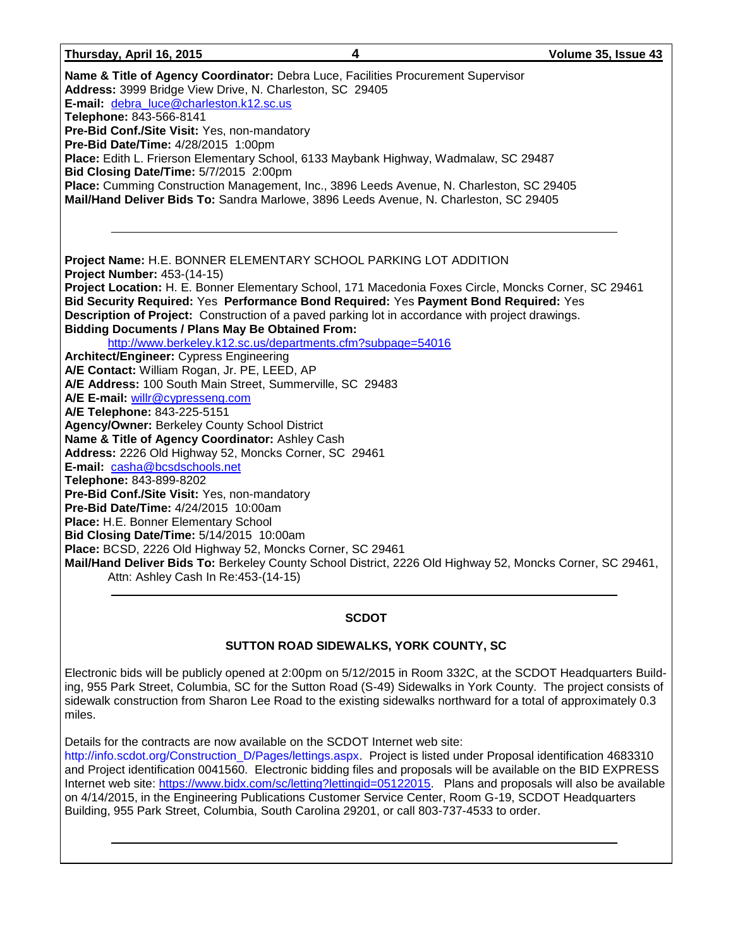#### **Thursday, April 16, 2015 4 Volume 35, Issue 43**

| Name & Title of Agency Coordinator: Debra Luce, Facilities Procurement Supervisor<br>Address: 3999 Bridge View Drive, N. Charleston, SC 29405<br>E-mail: debra_luce@charleston.k12.sc.us<br>Telephone: 843-566-8141<br>Pre-Bid Conf./Site Visit: Yes, non-mandatory<br>Pre-Bid Date/Time: 4/28/2015 1:00pm<br>Place: Edith L. Frierson Elementary School, 6133 Maybank Highway, Wadmalaw, SC 29487<br>Bid Closing Date/Time: 5/7/2015 2:00pm<br>Place: Cumming Construction Management, Inc., 3896 Leeds Avenue, N. Charleston, SC 29405<br>Mail/Hand Deliver Bids To: Sandra Marlowe, 3896 Leeds Avenue, N. Charleston, SC 29405 |
|-----------------------------------------------------------------------------------------------------------------------------------------------------------------------------------------------------------------------------------------------------------------------------------------------------------------------------------------------------------------------------------------------------------------------------------------------------------------------------------------------------------------------------------------------------------------------------------------------------------------------------------|
| Project Name: H.E. BONNER ELEMENTARY SCHOOL PARKING LOT ADDITION                                                                                                                                                                                                                                                                                                                                                                                                                                                                                                                                                                  |
| Project Number: 453-(14-15)                                                                                                                                                                                                                                                                                                                                                                                                                                                                                                                                                                                                       |
| Project Location: H. E. Bonner Elementary School, 171 Macedonia Foxes Circle, Moncks Corner, SC 29461                                                                                                                                                                                                                                                                                                                                                                                                                                                                                                                             |
| Bid Security Required: Yes Performance Bond Required: Yes Payment Bond Required: Yes                                                                                                                                                                                                                                                                                                                                                                                                                                                                                                                                              |
| Description of Project: Construction of a paved parking lot in accordance with project drawings.                                                                                                                                                                                                                                                                                                                                                                                                                                                                                                                                  |
| <b>Bidding Documents / Plans May Be Obtained From:</b>                                                                                                                                                                                                                                                                                                                                                                                                                                                                                                                                                                            |
| http://www.berkeley.k12.sc.us/departments.cfm?subpage=54016                                                                                                                                                                                                                                                                                                                                                                                                                                                                                                                                                                       |
| <b>Architect/Engineer: Cypress Engineering</b>                                                                                                                                                                                                                                                                                                                                                                                                                                                                                                                                                                                    |
| A/E Contact: William Rogan, Jr. PE, LEED, AP                                                                                                                                                                                                                                                                                                                                                                                                                                                                                                                                                                                      |
| A/E Address: 100 South Main Street, Summerville, SC 29483                                                                                                                                                                                                                                                                                                                                                                                                                                                                                                                                                                         |
| A/E E-mail: willr@cypresseng.com                                                                                                                                                                                                                                                                                                                                                                                                                                                                                                                                                                                                  |
| A/E Telephone: 843-225-5151                                                                                                                                                                                                                                                                                                                                                                                                                                                                                                                                                                                                       |
| <b>Agency/Owner: Berkeley County School District</b>                                                                                                                                                                                                                                                                                                                                                                                                                                                                                                                                                                              |
| Name & Title of Agency Coordinator: Ashley Cash                                                                                                                                                                                                                                                                                                                                                                                                                                                                                                                                                                                   |
| Address: 2226 Old Highway 52, Moncks Corner, SC 29461                                                                                                                                                                                                                                                                                                                                                                                                                                                                                                                                                                             |
| E-mail: casha@bcsdschools.net                                                                                                                                                                                                                                                                                                                                                                                                                                                                                                                                                                                                     |
| Telephone: 843-899-8202                                                                                                                                                                                                                                                                                                                                                                                                                                                                                                                                                                                                           |
| Pre-Bid Conf./Site Visit: Yes, non-mandatory                                                                                                                                                                                                                                                                                                                                                                                                                                                                                                                                                                                      |
| <b>Pre-Bid Date/Time: 4/24/2015 10:00am</b>                                                                                                                                                                                                                                                                                                                                                                                                                                                                                                                                                                                       |
| Place: H.E. Bonner Elementary School                                                                                                                                                                                                                                                                                                                                                                                                                                                                                                                                                                                              |
| Bid Closing Date/Time: 5/14/2015 10:00am                                                                                                                                                                                                                                                                                                                                                                                                                                                                                                                                                                                          |
| Place: BCSD, 2226 Old Highway 52, Moncks Corner, SC 29461                                                                                                                                                                                                                                                                                                                                                                                                                                                                                                                                                                         |
| Mail/Hand Deliver Bids To: Berkeley County School District, 2226 Old Highway 52, Moncks Corner, SC 29461,<br>Attn: Ashley Cash In Re: 453-(14-15)                                                                                                                                                                                                                                                                                                                                                                                                                                                                                 |
|                                                                                                                                                                                                                                                                                                                                                                                                                                                                                                                                                                                                                                   |

# **SCDOT**

# **SUTTON ROAD SIDEWALKS, YORK COUNTY, SC**

Electronic bids will be publicly opened at 2:00pm on 5/12/2015 in Room 332C, at the SCDOT Headquarters Building, 955 Park Street, Columbia, SC for the Sutton Road (S-49) Sidewalks in York County. The project consists of sidewalk construction from Sharon Lee Road to the existing sidewalks northward for a total of approximately 0.3 miles.

Details for the contracts are now available on the SCDOT Internet web site:

[http://info.scdot.org/Construction\\_D/Pages/lettings.aspx.](http://info.scdot.org/Construction_D/Pages/lettings.aspx) Project is listed under Proposal identification 4683310 and Project identification 0041560. Electronic bidding files and proposals will be available on the BID EXPRESS Internet web site: [https://www.bidx.com/sc/letting?lettingid=05122015.](https://www.bidx.com/sc/letting?lettingid=05122015) Plans and proposals will also be available on 4/14/2015, in the Engineering Publications Customer Service Center, Room G-19, SCDOT Headquarters Building, 955 Park Street, Columbia, South Carolina 29201, or call 803-737-4533 to order.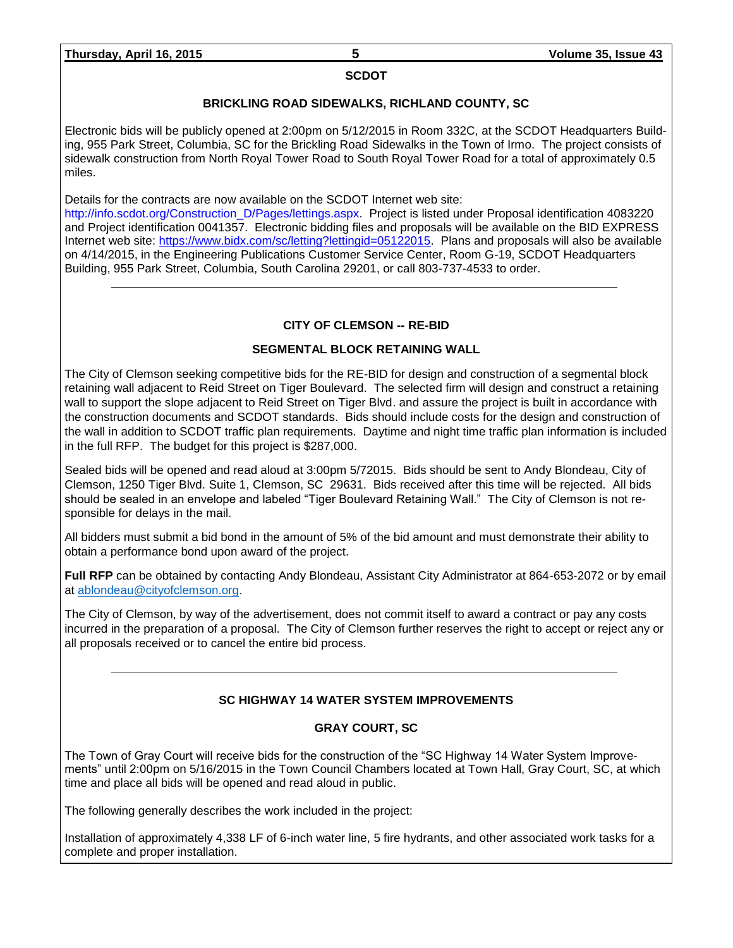#### **SCDOT**

### **BRICKLING ROAD SIDEWALKS, RICHLAND COUNTY, SC**

Electronic bids will be publicly opened at 2:00pm on 5/12/2015 in Room 332C, at the SCDOT Headquarters Building, 955 Park Street, Columbia, SC for the Brickling Road Sidewalks in the Town of Irmo. The project consists of sidewalk construction from North Royal Tower Road to South Royal Tower Road for a total of approximately 0.5 miles.

Details for the contracts are now available on the SCDOT Internet web site:

[http://info.scdot.org/Construction\\_D/Pages/lettings.aspx.](http://info.scdot.org/Construction_D/Pages/lettings.aspx) Project is listed under Proposal identification 4083220 and Project identification 0041357. Electronic bidding files and proposals will be available on the BID EXPRESS Internet web site: [https://www.bidx.com/sc/letting?lettingid=05122015.](https://www.bidx.com/sc/letting?lettingid=05122015) Plans and proposals will also be available on 4/14/2015, in the Engineering Publications Customer Service Center, Room G-19, SCDOT Headquarters Building, 955 Park Street, Columbia, South Carolina 29201, or call 803-737-4533 to order.

# **CITY OF CLEMSON -- RE-BID**

# **SEGMENTAL BLOCK RETAINING WALL**

The City of Clemson seeking competitive bids for the RE-BID for design and construction of a segmental block retaining wall adjacent to Reid Street on Tiger Boulevard. The selected firm will design and construct a retaining wall to support the slope adjacent to Reid Street on Tiger Blvd. and assure the project is built in accordance with the construction documents and SCDOT standards. Bids should include costs for the design and construction of the wall in addition to SCDOT traffic plan requirements. Daytime and night time traffic plan information is included in the full RFP. The budget for this project is \$287,000.

Sealed bids will be opened and read aloud at 3:00pm 5/72015. Bids should be sent to Andy Blondeau, City of Clemson, 1250 Tiger Blvd. Suite 1, Clemson, SC 29631. Bids received after this time will be rejected. All bids should be sealed in an envelope and labeled "Tiger Boulevard Retaining Wall." The City of Clemson is not responsible for delays in the mail.

All bidders must submit a bid bond in the amount of 5% of the bid amount and must demonstrate their ability to obtain a performance bond upon award of the project.

**Full RFP** can be obtained by contacting Andy Blondeau, Assistant City Administrator at 864-653-2072 or by email at [ablondeau@cityofclemson.org.](mailto:ablondeau@cityofclemson.org)

The City of Clemson, by way of the advertisement, does not commit itself to award a contract or pay any costs incurred in the preparation of a proposal. The City of Clemson further reserves the right to accept or reject any or all proposals received or to cancel the entire bid process.

# **SC HIGHWAY 14 WATER SYSTEM IMPROVEMENTS**

# **GRAY COURT, SC**

The Town of Gray Court will receive bids for the construction of the "SC Highway 14 Water System Improvements" until 2:00pm on 5/16/2015 in the Town Council Chambers located at Town Hall, Gray Court, SC, at which time and place all bids will be opened and read aloud in public.

The following generally describes the work included in the project:

Installation of approximately 4,338 LF of 6-inch water line, 5 fire hydrants, and other associated work tasks for a complete and proper installation.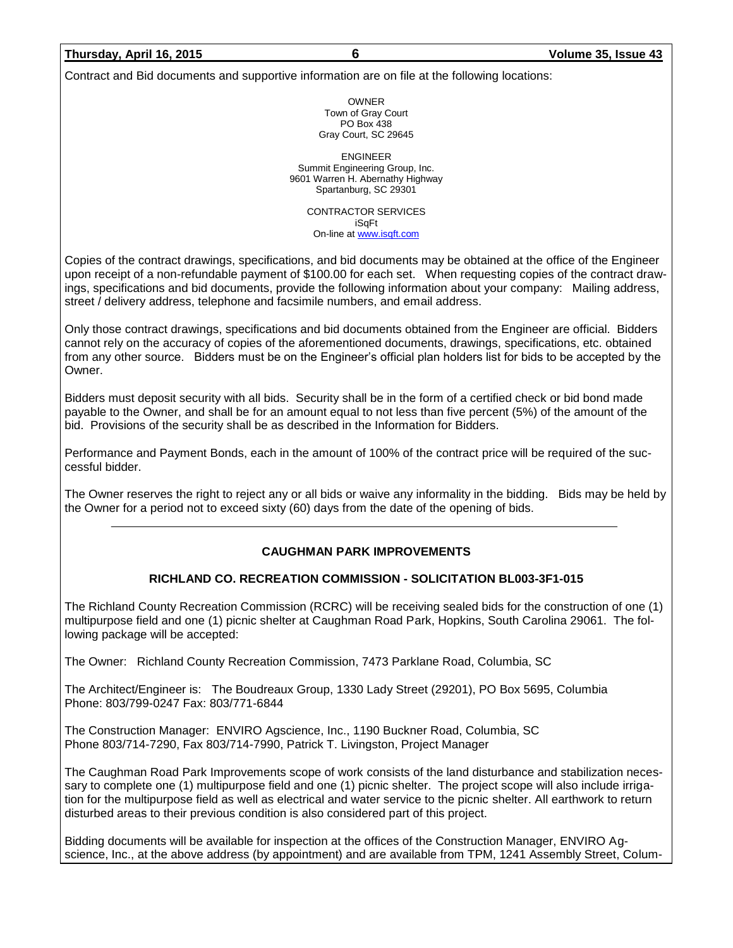### **Thursday, April 16, 2015 6 Volume 35, Issue 43**

Contract and Bid documents and supportive information are on file at the following locations:

OWNER Town of Gray Court PO Box 438 Gray Court, SC 29645

ENGINEER Summit Engineering Group, Inc. 9601 Warren H. Abernathy Highway Spartanburg, SC 29301

> CONTRACTOR SERVICES iSqFt On-line a[t www.isqft.com](http://www.isqft.com/)

Copies of the contract drawings, specifications, and bid documents may be obtained at the office of the Engineer upon receipt of a non-refundable payment of \$100.00 for each set. When requesting copies of the contract drawings, specifications and bid documents, provide the following information about your company: Mailing address, street / delivery address, telephone and facsimile numbers, and email address.

Only those contract drawings, specifications and bid documents obtained from the Engineer are official. Bidders cannot rely on the accuracy of copies of the aforementioned documents, drawings, specifications, etc. obtained from any other source. Bidders must be on the Engineer's official plan holders list for bids to be accepted by the Owner.

Bidders must deposit security with all bids. Security shall be in the form of a certified check or bid bond made payable to the Owner, and shall be for an amount equal to not less than five percent (5%) of the amount of the bid. Provisions of the security shall be as described in the Information for Bidders.

Performance and Payment Bonds, each in the amount of 100% of the contract price will be required of the successful bidder.

The Owner reserves the right to reject any or all bids or waive any informality in the bidding. Bids may be held by the Owner for a period not to exceed sixty (60) days from the date of the opening of bids.

### **CAUGHMAN PARK IMPROVEMENTS**

### **RICHLAND CO. RECREATION COMMISSION - SOLICITATION BL003-3F1-015**

The Richland County Recreation Commission (RCRC) will be receiving sealed bids for the construction of one (1) multipurpose field and one (1) picnic shelter at Caughman Road Park, Hopkins, South Carolina 29061. The following package will be accepted:

The Owner: Richland County Recreation Commission, 7473 Parklane Road, Columbia, SC

The Architect/Engineer is: The Boudreaux Group, 1330 Lady Street (29201), PO Box 5695, Columbia Phone: 803/799-0247 Fax: 803/771-6844

The Construction Manager: ENVIRO Agscience, Inc., 1190 Buckner Road, Columbia, SC Phone 803/714-7290, Fax 803/714-7990, Patrick T. Livingston, Project Manager

The Caughman Road Park Improvements scope of work consists of the land disturbance and stabilization necessary to complete one (1) multipurpose field and one (1) picnic shelter. The project scope will also include irrigation for the multipurpose field as well as electrical and water service to the picnic shelter. All earthwork to return disturbed areas to their previous condition is also considered part of this project.

Bidding documents will be available for inspection at the offices of the Construction Manager, ENVIRO Agscience, Inc., at the above address (by appointment) and are available from TPM, 1241 Assembly Street, Colum-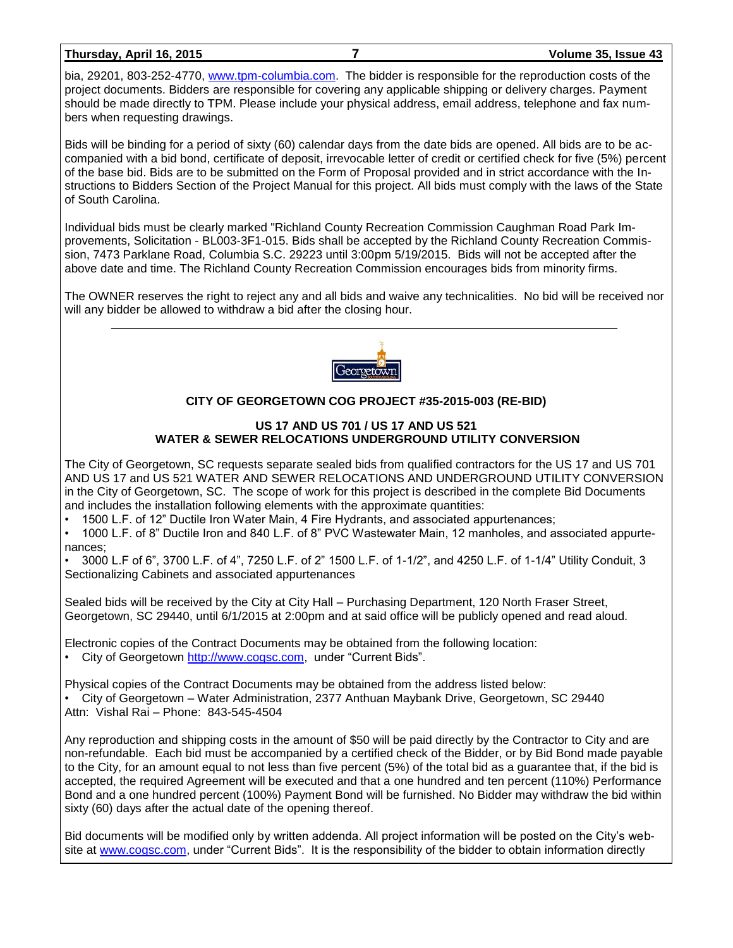### **Thursday, April 16, 2015 7 Volume 35, Issue 43**

bia, 29201, 803-252-4770, [www.tpm-columbia.com.](http://www.tpm-columbia.com/) The bidder is responsible for the reproduction costs of the project documents. Bidders are responsible for covering any applicable shipping or delivery charges. Payment should be made directly to TPM. Please include your physical address, email address, telephone and fax numbers when requesting drawings.

Bids will be binding for a period of sixty (60) calendar days from the date bids are opened. All bids are to be accompanied with a bid bond, certificate of deposit, irrevocable letter of credit or certified check for five (5%) percent of the base bid. Bids are to be submitted on the Form of Proposal provided and in strict accordance with the Instructions to Bidders Section of the Project Manual for this project. All bids must comply with the laws of the State of South Carolina.

Individual bids must be clearly marked "Richland County Recreation Commission Caughman Road Park Improvements, Solicitation - BL003-3F1-015. Bids shall be accepted by the Richland County Recreation Commission, 7473 Parklane Road, Columbia S.C. 29223 until 3:00pm 5/19/2015. Bids will not be accepted after the above date and time. The Richland County Recreation Commission encourages bids from minority firms.

The OWNER reserves the right to reject any and all bids and waive any technicalities. No bid will be received nor will any bidder be allowed to withdraw a bid after the closing hour.



# **CITY OF GEORGETOWN COG PROJECT #35-2015-003 (RE-BID)**

#### **US 17 AND US 701 / US 17 AND US 521 WATER & SEWER RELOCATIONS UNDERGROUND UTILITY CONVERSION**

The City of Georgetown, SC requests separate sealed bids from qualified contractors for the US 17 and US 701 AND US 17 and US 521 WATER AND SEWER RELOCATIONS AND UNDERGROUND UTILITY CONVERSION in the City of Georgetown, SC. The scope of work for this project is described in the complete Bid Documents and includes the installation following elements with the approximate quantities:

• 1500 L.F. of 12" Ductile Iron Water Main, 4 Fire Hydrants, and associated appurtenances;

• 1000 L.F. of 8" Ductile Iron and 840 L.F. of 8" PVC Wastewater Main, 12 manholes, and associated appurtenances;

• 3000 L.F of 6", 3700 L.F. of 4", 7250 L.F. of 2" 1500 L.F. of 1-1/2", and 4250 L.F. of 1-1/4" Utility Conduit, 3 Sectionalizing Cabinets and associated appurtenances

Sealed bids will be received by the City at City Hall – Purchasing Department, 120 North Fraser Street, Georgetown, SC 29440, until 6/1/2015 at 2:00pm and at said office will be publicly opened and read aloud.

Electronic copies of the Contract Documents may be obtained from the following location:

• City of Georgetown [http://www.cogsc.com,](http://www.cogsc.com/) under "Current Bids".

Physical copies of the Contract Documents may be obtained from the address listed below:

• City of Georgetown – Water Administration, 2377 Anthuan Maybank Drive, Georgetown, SC 29440 Attn: Vishal Rai – Phone: 843-545-4504

Any reproduction and shipping costs in the amount of \$50 will be paid directly by the Contractor to City and are non-refundable. Each bid must be accompanied by a certified check of the Bidder, or by Bid Bond made payable to the City, for an amount equal to not less than five percent (5%) of the total bid as a guarantee that, if the bid is accepted, the required Agreement will be executed and that a one hundred and ten percent (110%) Performance Bond and a one hundred percent (100%) Payment Bond will be furnished. No Bidder may withdraw the bid within sixty (60) days after the actual date of the opening thereof.

Bid documents will be modified only by written addenda. All project information will be posted on the City's website at [www.cogsc.com,](http://www.cogsc.com/) under "Current Bids". It is the responsibility of the bidder to obtain information directly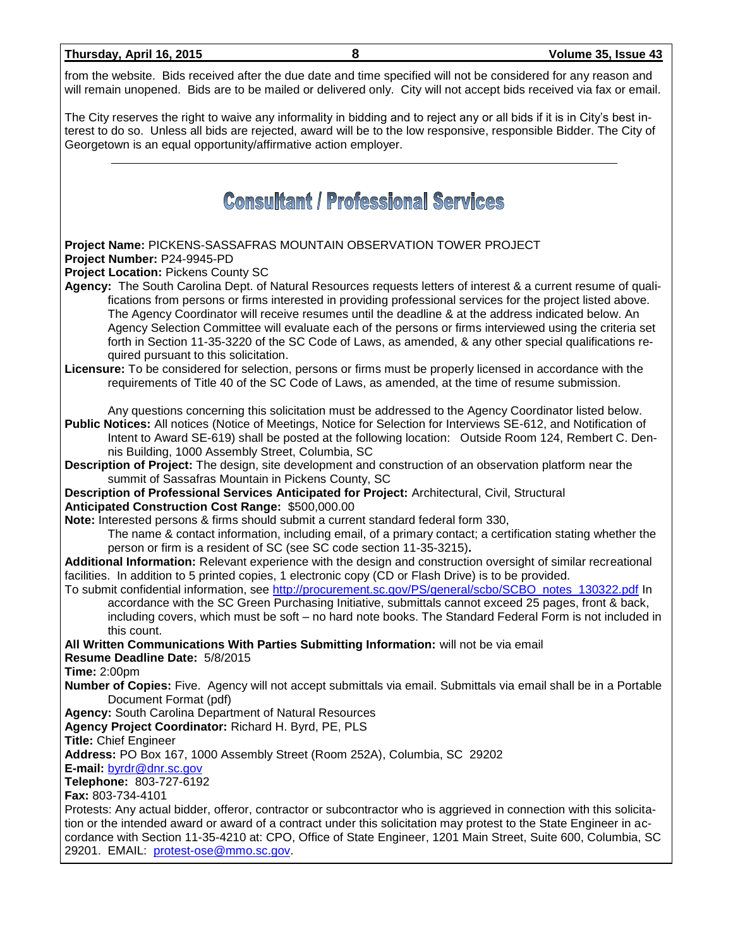| Thursday, April 16, 2015 |  |  |
|--------------------------|--|--|
|                          |  |  |

from the website. Bids received after the due date and time specified will not be considered for any reason and will remain unopened. Bids are to be mailed or delivered only. City will not accept bids received via fax or email.

The City reserves the right to waive any informality in bidding and to reject any or all bids if it is in City's best interest to do so. Unless all bids are rejected, award will be to the low responsive, responsible Bidder. The City of Georgetown is an equal opportunity/affirmative action employer.

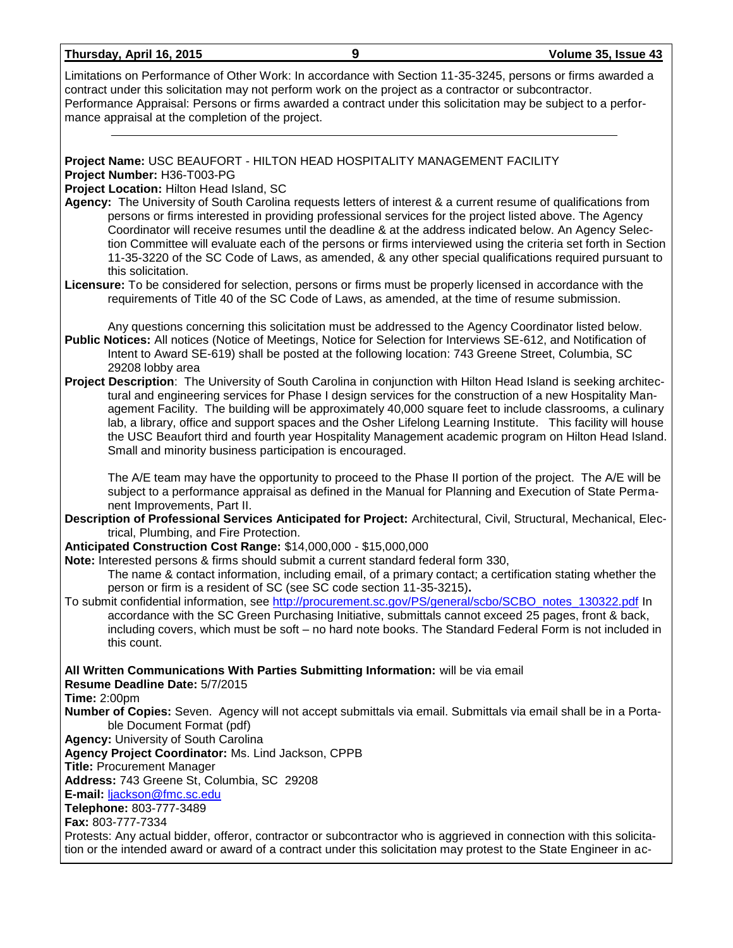| Limitations on Performance of Other Work: In accordance with Section 11-35-3245, persons or firms awarded a<br>contract under this solicitation may not perform work on the project as a contractor or subcontractor.<br>Performance Appraisal: Persons or firms awarded a contract under this solicitation may be subject to a perfor-<br>mance appraisal at the completion of the project.                                                                                                                                                                                                                                                                                                                                                 |
|----------------------------------------------------------------------------------------------------------------------------------------------------------------------------------------------------------------------------------------------------------------------------------------------------------------------------------------------------------------------------------------------------------------------------------------------------------------------------------------------------------------------------------------------------------------------------------------------------------------------------------------------------------------------------------------------------------------------------------------------|
| Project Name: USC BEAUFORT - HILTON HEAD HOSPITALITY MANAGEMENT FACILITY<br>Project Number: H36-T003-PG<br>Project Location: Hilton Head Island, SC<br>Agency: The University of South Carolina requests letters of interest & a current resume of qualifications from<br>persons or firms interested in providing professional services for the project listed above. The Agency<br>Coordinator will receive resumes until the deadline & at the address indicated below. An Agency Selec-<br>tion Committee will evaluate each of the persons or firms interviewed using the criteria set forth in Section<br>11-35-3220 of the SC Code of Laws, as amended, & any other special qualifications required pursuant to<br>this solicitation. |
| Licensure: To be considered for selection, persons or firms must be properly licensed in accordance with the<br>requirements of Title 40 of the SC Code of Laws, as amended, at the time of resume submission.                                                                                                                                                                                                                                                                                                                                                                                                                                                                                                                               |
| Any questions concerning this solicitation must be addressed to the Agency Coordinator listed below.<br>Public Notices: All notices (Notice of Meetings, Notice for Selection for Interviews SE-612, and Notification of<br>Intent to Award SE-619) shall be posted at the following location: 743 Greene Street, Columbia, SC                                                                                                                                                                                                                                                                                                                                                                                                               |
| 29208 lobby area<br>Project Description: The University of South Carolina in conjunction with Hilton Head Island is seeking architec-<br>tural and engineering services for Phase I design services for the construction of a new Hospitality Man-<br>agement Facility. The building will be approximately 40,000 square feet to include classrooms, a culinary<br>lab, a library, office and support spaces and the Osher Lifelong Learning Institute. This facility will house<br>the USC Beaufort third and fourth year Hospitality Management academic program on Hilton Head Island.<br>Small and minority business participation is encouraged.                                                                                        |
| The A/E team may have the opportunity to proceed to the Phase II portion of the project. The A/E will be<br>subject to a performance appraisal as defined in the Manual for Planning and Execution of State Perma-<br>nent Improvements, Part II.                                                                                                                                                                                                                                                                                                                                                                                                                                                                                            |
| Description of Professional Services Anticipated for Project: Architectural, Civil, Structural, Mechanical, Elec-<br>trical, Plumbing, and Fire Protection.                                                                                                                                                                                                                                                                                                                                                                                                                                                                                                                                                                                  |
| Anticipated Construction Cost Range: \$14,000,000 - \$15,000,000                                                                                                                                                                                                                                                                                                                                                                                                                                                                                                                                                                                                                                                                             |
| Note: Interested persons & firms should submit a current standard federal form 330,                                                                                                                                                                                                                                                                                                                                                                                                                                                                                                                                                                                                                                                          |
| The name & contact information, including email, of a primary contact; a certification stating whether the<br>person or firm is a resident of SC (see SC code section 11-35-3215).                                                                                                                                                                                                                                                                                                                                                                                                                                                                                                                                                           |
| To submit confidential information, see http://procurement.sc.gov/PS/general/scbo/SCBO_notes_130322.pdf In<br>accordance with the SC Green Purchasing Initiative, submittals cannot exceed 25 pages, front & back,<br>including covers, which must be soft - no hard note books. The Standard Federal Form is not included in<br>this count.                                                                                                                                                                                                                                                                                                                                                                                                 |
| All Written Communications With Parties Submitting Information: will be via email<br>Resume Deadline Date: 5/7/2015                                                                                                                                                                                                                                                                                                                                                                                                                                                                                                                                                                                                                          |
| <b>Time: 2:00pm</b><br>Number of Copies: Seven. Agency will not accept submittals via email. Submittals via email shall be in a Porta-<br>ble Document Format (pdf)                                                                                                                                                                                                                                                                                                                                                                                                                                                                                                                                                                          |
| <b>Agency: University of South Carolina</b>                                                                                                                                                                                                                                                                                                                                                                                                                                                                                                                                                                                                                                                                                                  |
| Agency Project Coordinator: Ms. Lind Jackson, CPPB<br><b>Title: Procurement Manager</b>                                                                                                                                                                                                                                                                                                                                                                                                                                                                                                                                                                                                                                                      |
| Address: 743 Greene St, Columbia, SC 29208                                                                                                                                                                                                                                                                                                                                                                                                                                                                                                                                                                                                                                                                                                   |
| E-mail: ljackson@fmc.sc.edu                                                                                                                                                                                                                                                                                                                                                                                                                                                                                                                                                                                                                                                                                                                  |
| Telephone: 803-777-3489                                                                                                                                                                                                                                                                                                                                                                                                                                                                                                                                                                                                                                                                                                                      |
| Fax: 803-777-7334<br>Protests: Any actual bidder, offeror, contractor or subcontractor who is aggrieved in connection with this solicita-                                                                                                                                                                                                                                                                                                                                                                                                                                                                                                                                                                                                    |
| tion or the intended award or award of a contract under this solicitation may protest to the State Engineer in ac-                                                                                                                                                                                                                                                                                                                                                                                                                                                                                                                                                                                                                           |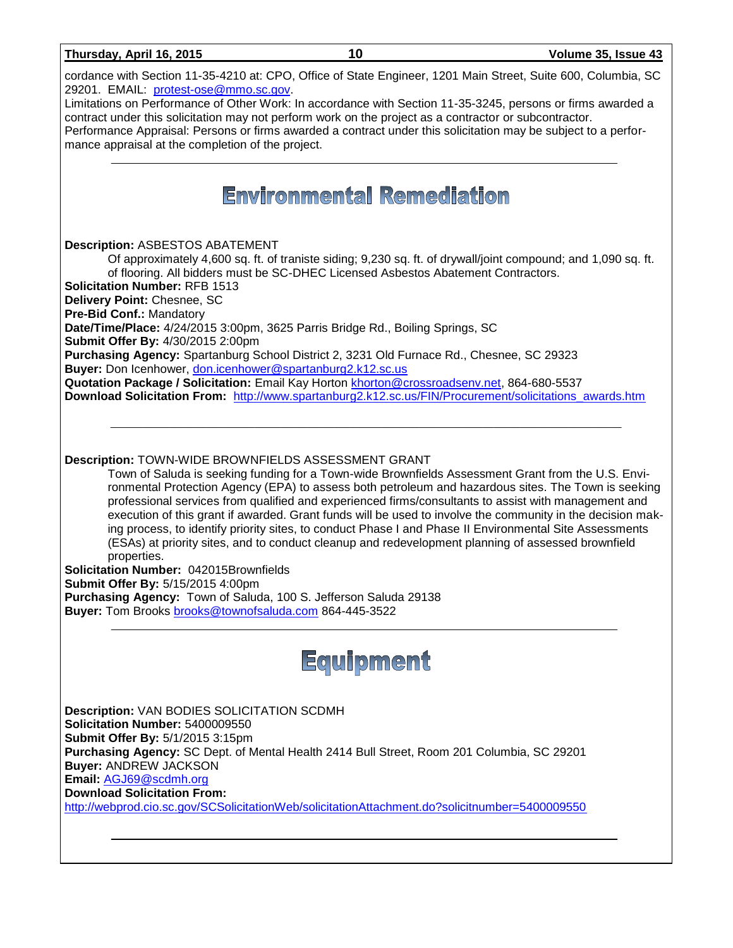| Thursday, April 16, 2015                                                                                                                                                                 | 10                                                                                                 | Volume 35, Issue 43                                                                                                                                                                                                                                                                                                                                                                                                                                                                                                                        |
|------------------------------------------------------------------------------------------------------------------------------------------------------------------------------------------|----------------------------------------------------------------------------------------------------|--------------------------------------------------------------------------------------------------------------------------------------------------------------------------------------------------------------------------------------------------------------------------------------------------------------------------------------------------------------------------------------------------------------------------------------------------------------------------------------------------------------------------------------------|
| 29201. EMAIL: protest-ose@mmo.sc.gov.                                                                                                                                                    |                                                                                                    | cordance with Section 11-35-4210 at: CPO, Office of State Engineer, 1201 Main Street, Suite 600, Columbia, SC                                                                                                                                                                                                                                                                                                                                                                                                                              |
| contract under this solicitation may not perform work on the project as a contractor or subcontractor.<br>mance appraisal at the completion of the project.                              |                                                                                                    | Limitations on Performance of Other Work: In accordance with Section 11-35-3245, persons or firms awarded a<br>Performance Appraisal: Persons or firms awarded a contract under this solicitation may be subject to a perfor-                                                                                                                                                                                                                                                                                                              |
|                                                                                                                                                                                          |                                                                                                    |                                                                                                                                                                                                                                                                                                                                                                                                                                                                                                                                            |
|                                                                                                                                                                                          | <b>Environmental Remediation</b>                                                                   |                                                                                                                                                                                                                                                                                                                                                                                                                                                                                                                                            |
| <b>Description: ASBESTOS ABATEMENT</b>                                                                                                                                                   |                                                                                                    |                                                                                                                                                                                                                                                                                                                                                                                                                                                                                                                                            |
| <b>Solicitation Number: RFB 1513</b>                                                                                                                                                     | of flooring. All bidders must be SC-DHEC Licensed Asbestos Abatement Contractors.                  | Of approximately 4,600 sq. ft. of traniste siding; 9,230 sq. ft. of drywall/joint compound; and 1,090 sq. ft.                                                                                                                                                                                                                                                                                                                                                                                                                              |
| Delivery Point: Chesnee, SC                                                                                                                                                              |                                                                                                    |                                                                                                                                                                                                                                                                                                                                                                                                                                                                                                                                            |
| Pre-Bid Conf.: Mandatory<br>Date/Time/Place: 4/24/2015 3:00pm, 3625 Parris Bridge Rd., Boiling Springs, SC                                                                               |                                                                                                    |                                                                                                                                                                                                                                                                                                                                                                                                                                                                                                                                            |
| Submit Offer By: 4/30/2015 2:00pm<br>Purchasing Agency: Spartanburg School District 2, 3231 Old Furnace Rd., Chesnee, SC 29323                                                           |                                                                                                    |                                                                                                                                                                                                                                                                                                                                                                                                                                                                                                                                            |
| Buyer: Don Icenhower, don.icenhower@spartanburg2.k12.sc.us<br>Quotation Package / Solicitation: Email Kay Horton khorton@crossroadsenv.net, 864-680-5537                                 |                                                                                                    |                                                                                                                                                                                                                                                                                                                                                                                                                                                                                                                                            |
|                                                                                                                                                                                          |                                                                                                    | Download Solicitation From: http://www.spartanburg2.k12.sc.us/FIN/Procurement/solicitations awards.htm                                                                                                                                                                                                                                                                                                                                                                                                                                     |
|                                                                                                                                                                                          |                                                                                                    |                                                                                                                                                                                                                                                                                                                                                                                                                                                                                                                                            |
|                                                                                                                                                                                          |                                                                                                    |                                                                                                                                                                                                                                                                                                                                                                                                                                                                                                                                            |
| <b>Description: TOWN-WIDE BROWNFIELDS ASSESSMENT GRANT</b><br>properties.<br>Solicitation Number: 042015Brownfields<br>Submit Offer By: 5/15/2015 4:00pm                                 | (ESAs) at priority sites, and to conduct cleanup and redevelopment planning of assessed brownfield | Town of Saluda is seeking funding for a Town-wide Brownfields Assessment Grant from the U.S. Envi-<br>ronmental Protection Agency (EPA) to assess both petroleum and hazardous sites. The Town is seeking<br>professional services from qualified and experienced firms/consultants to assist with management and<br>execution of this grant if awarded. Grant funds will be used to involve the community in the decision mak-<br>ing process, to identify priority sites, to conduct Phase I and Phase II Environmental Site Assessments |
| Purchasing Agency: Town of Saluda, 100 S. Jefferson Saluda 29138                                                                                                                         |                                                                                                    |                                                                                                                                                                                                                                                                                                                                                                                                                                                                                                                                            |
| Buyer: Tom Brooks brooks@townofsaluda.com 864-445-3522                                                                                                                                   |                                                                                                    |                                                                                                                                                                                                                                                                                                                                                                                                                                                                                                                                            |
|                                                                                                                                                                                          | Equipment                                                                                          |                                                                                                                                                                                                                                                                                                                                                                                                                                                                                                                                            |
| <b>Description: VAN BODIES SOLICITATION SCDMH</b><br>Solicitation Number: 5400009550                                                                                                     |                                                                                                    |                                                                                                                                                                                                                                                                                                                                                                                                                                                                                                                                            |
| Submit Offer By: 5/1/2015 3:15pm<br>Purchasing Agency: SC Dept. of Mental Health 2414 Bull Street, Room 201 Columbia, SC 29201<br><b>Buyer: ANDREW JACKSON</b><br>Email: AGJ69@scdmh.org |                                                                                                    |                                                                                                                                                                                                                                                                                                                                                                                                                                                                                                                                            |
| <b>Download Solicitation From:</b>                                                                                                                                                       |                                                                                                    |                                                                                                                                                                                                                                                                                                                                                                                                                                                                                                                                            |
| http://webprod.cio.sc.gov/SCSolicitationWeb/solicitationAttachment.do?solicitnumber=5400009550                                                                                           |                                                                                                    |                                                                                                                                                                                                                                                                                                                                                                                                                                                                                                                                            |
|                                                                                                                                                                                          |                                                                                                    |                                                                                                                                                                                                                                                                                                                                                                                                                                                                                                                                            |
|                                                                                                                                                                                          |                                                                                                    |                                                                                                                                                                                                                                                                                                                                                                                                                                                                                                                                            |
|                                                                                                                                                                                          |                                                                                                    |                                                                                                                                                                                                                                                                                                                                                                                                                                                                                                                                            |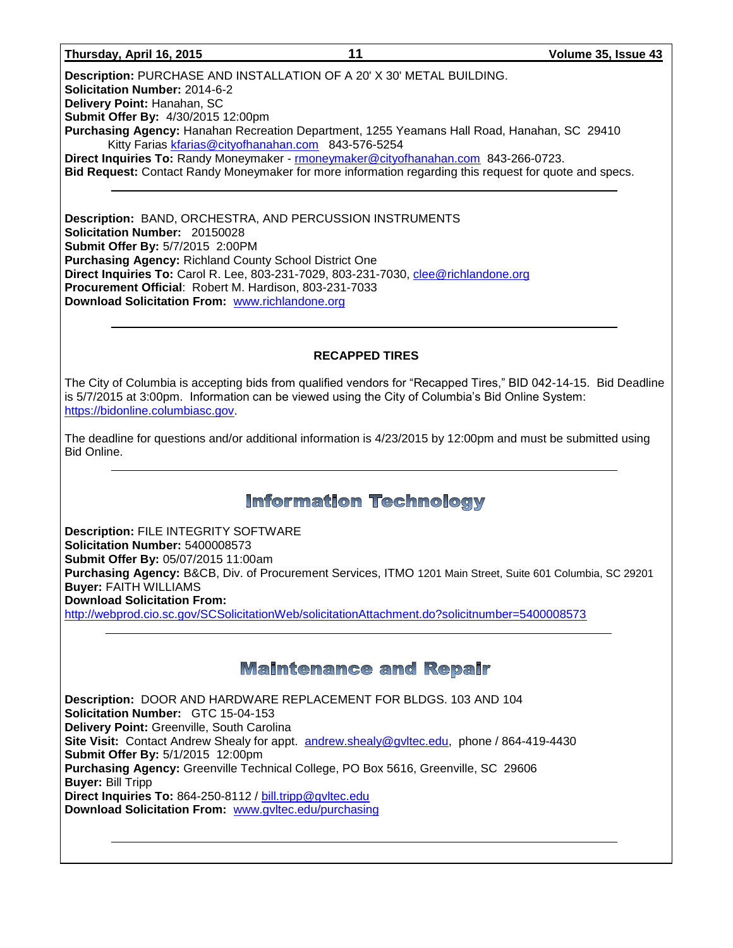#### **Thursday, April 16, 2015 11 Volume 35, Issue 43**

**Description:** PURCHASE AND INSTALLATION OF A 20' X 30' METAL BUILDING. **Solicitation Number:** 2014-6-2 **Delivery Point:** Hanahan, SC **Submit Offer By:** 4/30/2015 12:00pm **Purchasing Agency:** Hanahan Recreation Department, 1255 Yeamans Hall Road, Hanahan, SC 29410 Kitty Farias [kfarias@cityofhanahan.com](mailto:kfarias@cityofhanahan.com) 843-576-5254 **Direct Inquiries To:** Randy Moneymaker - [rmoneymaker@cityofhanahan.com](mailto:rmoneymaker@cityofhanahan.com) 843-266-0723. **Bid Request:** Contact Randy Moneymaker for more information regarding this request for quote and specs.

**Description:** BAND, ORCHESTRA, AND PERCUSSION INSTRUMENTS **Solicitation Number:** 20150028 **Submit Offer By:** 5/7/2015 2:00PM **Purchasing Agency:** Richland County School District One **Direct Inquiries To:** Carol R. Lee, 803-231-7029, 803-231-7030, [clee@richlandone.org](mailto:clee@richlandone.org) **Procurement Official**: Robert M. Hardison, 803-231-7033 **Download Solicitation From:** [www.richlandone.org](http://www.richlandone.org/)

# **RECAPPED TIRES**

The City of Columbia is accepting bids from qualified vendors for "Recapped Tires," BID 042-14-15. Bid Deadline is 5/7/2015 at 3:00pm. Information can be viewed using the City of Columbia's Bid Online System: [https://bidonline.columbiasc.gov.](https://bidonline.columbiasc.gov/)

The deadline for questions and/or additional information is 4/23/2015 by 12:00pm and must be submitted using Bid Online.

# **Information Technology**

**Description:** FILE INTEGRITY SOFTWARE **Solicitation Number:** 5400008573 **Submit Offer By:** 05/07/2015 11:00am **Purchasing Agency:** B&CB, Div. of Procurement Services, ITMO 1201 Main Street, Suite 601 Columbia, SC 29201 **Buyer:** FAITH WILLIAMS **Download Solicitation From:**  <http://webprod.cio.sc.gov/SCSolicitationWeb/solicitationAttachment.do?solicitnumber=5400008573>

# **Maintenance and Repair**

**Description:** DOOR AND HARDWARE REPLACEMENT FOR BLDGS. 103 AND 104 **Solicitation Number:** GTC 15-04-153 **Delivery Point:** Greenville, South Carolina **Site Visit:** Contact Andrew Shealy for appt. [andrew.shealy@gvltec.edu,](mailto:andrew.shealy@gvltec.edu) phone / 864-419-4430 **Submit Offer By:** 5/1/2015 12:00pm **Purchasing Agency:** Greenville Technical College, PO Box 5616, Greenville, SC 29606 **Buyer:** Bill Tripp **Direct Inquiries To:** 864-250-8112 / [bill.tripp@gvltec.edu](mailto:bill.tripp@gvltec.edu) **Download Solicitation From:** [www.gvltec.edu/purchasing](http://www.gvltec.edu/purchasing)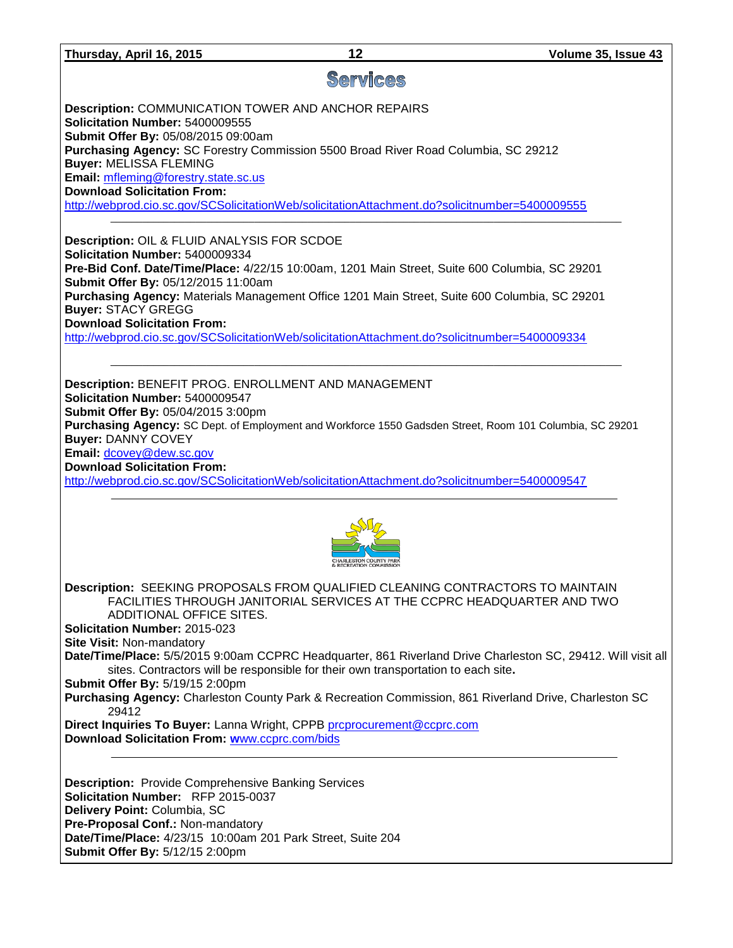# **Services**

**Description:** COMMUNICATION TOWER AND ANCHOR REPAIRS **Solicitation Number:** 5400009555 **Submit Offer By:** 05/08/2015 09:00am **Purchasing Agency:** SC Forestry Commission 5500 Broad River Road Columbia, SC 29212 **Buyer:** MELISSA FLEMING **Email:** [mfleming@forestry.state.sc.us](mailto:mfleming@forestry.state.sc.us) **Download Solicitation From:**  <http://webprod.cio.sc.gov/SCSolicitationWeb/solicitationAttachment.do?solicitnumber=5400009555>  $\_$  ,  $\_$  ,  $\_$  ,  $\_$  ,  $\_$  ,  $\_$  ,  $\_$  ,  $\_$  ,  $\_$  ,  $\_$  ,  $\_$  ,  $\_$  ,  $\_$  ,  $\_$  ,  $\_$  ,  $\_$  ,  $\_$  ,  $\_$  ,  $\_$  ,  $\_$  ,  $\_$  ,  $\_$  ,  $\_$  ,  $\_$  ,  $\_$  ,  $\_$  ,  $\_$  ,  $\_$  ,  $\_$  ,  $\_$  ,  $\_$  ,  $\_$  ,  $\_$  ,  $\_$  ,  $\_$  ,  $\_$  ,  $\_$  ,

**Description:** OIL & FLUID ANALYSIS FOR SCDOE **Solicitation Number:** 5400009334 **Pre-Bid Conf. Date/Time/Place:** 4/22/15 10:00am, 1201 Main Street, Suite 600 Columbia, SC 29201 **Submit Offer By:** 05/12/2015 11:00am **Purchasing Agency:** Materials Management Office 1201 Main Street, Suite 600 Columbia, SC 29201 **Buyer:** STACY GREGG **Download Solicitation From:**  <http://webprod.cio.sc.gov/SCSolicitationWeb/solicitationAttachment.do?solicitnumber=5400009334>

**Description:** BENEFIT PROG. ENROLLMENT AND MANAGEMENT **Solicitation Number:** 5400009547 **Submit Offer By:** 05/04/2015 3:00pm **Purchasing Agency:** SC Dept. of Employment and Workforce 1550 Gadsden Street, Room 101 Columbia, SC 29201 **Buyer:** DANNY COVEY **Email:** [dcovey@dew.sc.gov](mailto:dcovey@dew.sc.gov) **Download Solicitation From:** 

\_\_\_\_\_\_\_\_\_\_\_\_\_\_\_\_\_\_\_\_\_\_\_\_\_\_\_\_\_\_\_\_\_\_\_\_\_\_\_\_\_\_\_\_\_\_\_\_\_\_\_\_\_\_\_\_\_\_\_\_\_\_\_\_\_\_\_\_\_\_\_\_\_\_\_\_\_\_\_\_\_\_\_\_\_\_\_\_\_\_\_\_\_\_\_\_

<http://webprod.cio.sc.gov/SCSolicitationWeb/solicitationAttachment.do?solicitnumber=5400009547>



**Description:** SEEKING PROPOSALS FROM QUALIFIED CLEANING CONTRACTORS TO MAINTAIN FACILITIES THROUGH JANITORIAL SERVICES AT THE CCPRC HEADQUARTER AND TWO ADDITIONAL OFFICE SITES. **Solicitation Number:** 2015-023

**Site Visit:** Non-mandatory

**Date/Time/Place:** 5/5/2015 9:00am CCPRC Headquarter, 861 Riverland Drive Charleston SC, 29412. Will visit all sites. Contractors will be responsible for their own transportation to each site**.** 

**Submit Offer By:** 5/19/15 2:00pm

**Purchasing Agency:** Charleston County Park & Recreation Commission, 861 Riverland Drive, Charleston SC 29412

**Direct Inquiries To Buyer:** Lanna Wright, CPPB proprocurement@ccprc.com **Download Solicitation From: w**[ww.ccprc.com/bids](http://www.ccprc.com/bids)

**Description:** Provide Comprehensive Banking Services **Solicitation Number:** RFP 2015-0037 **Delivery Point:** Columbia, SC **Pre-Proposal Conf.:** Non-mandatory **Date/Time/Place:** 4/23/15 10:00am 201 Park Street, Suite 204 **Submit Offer By:** 5/12/15 2:00pm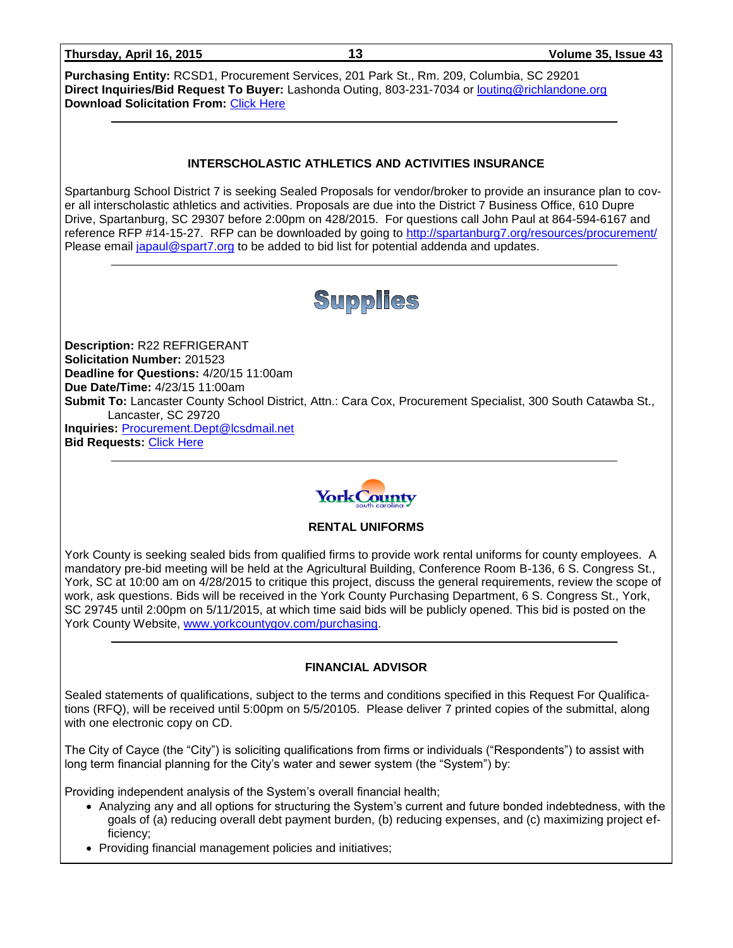| Thursday, April 16, 2015 |  |  |
|--------------------------|--|--|
|                          |  |  |

**Purchasing Entity:** RCSD1, Procurement Services, 201 Park St., Rm. 209, Columbia, SC 29201 **Direct Inquiries/Bid Request To Buyer:** Lashonda Outing, 803-231-7034 or [louting@richlandone.org](mailto:louting@richlandone.org) **Download Solicitation From:** [Click Here](http://www.richlandone.org/site_res_view_template.aspx?id=310ffdee-8df5-440a-8b25-27471ff49d85&userGroupId=8fdaa01a-b8f4-4ddd-91e8-5beb0d65746d&userGroupType=G) 

### **INTERSCHOLASTIC ATHLETICS AND ACTIVITIES INSURANCE**

Spartanburg School District 7 is seeking Sealed Proposals for vendor/broker to provide an insurance plan to cover all interscholastic athletics and activities. Proposals are due into the District 7 Business Office, 610 Dupre Drive, Spartanburg, SC 29307 before 2:00pm on 428/2015. For questions call John Paul at 864-594-6167 and reference RFP #14-15-27. RFP can be downloaded by going to<http://spartanburg7.org/resources/procurement/> Please email [japaul@spart7.org](mailto:japaul@spart7.org) to be added to bid list for potential addenda and updates.



**Description:** R22 REFRIGERANT **Solicitation Number:** 201523 **Deadline for Questions:** 4/20/15 11:00am **Due Date/Time:** 4/23/15 11:00am **Submit To:** Lancaster County School District, Attn.: Cara Cox, Procurement Specialist, 300 South Catawba St., Lancaster, SC 29720 **Inquiries:** [Procurement.Dept@lcsdmail.net](mailto:Procurement.Dept@lcsdmail.net) **Bid Requests:** [Click Here](http://lancaster.ss5.sharpschool.com/cms/One.aspx?portalId=3127041&pageId=3434688)



### **RENTAL UNIFORMS**

York County is seeking sealed bids from qualified firms to provide work rental uniforms for county employees. A mandatory pre-bid meeting will be held at the Agricultural Building, Conference Room B-136, 6 S. Congress St., York, SC at 10:00 am on 4/28/2015 to critique this project, discuss the general requirements, review the scope of work, ask questions. Bids will be received in the York County Purchasing Department, 6 S. Congress St., York, SC 29745 until 2:00pm on 5/11/2015, at which time said bids will be publicly opened. This bid is posted on the York County Website, [www.yorkcountygov.com/purchasing.](http://www.yorkcountygov.com/purchasing)

### **FINANCIAL ADVISOR**

Sealed statements of qualifications, subject to the terms and conditions specified in this Request For Qualifications (RFQ), will be received until 5:00pm on 5/5/20105. Please deliver 7 printed copies of the submittal, along with one electronic copy on CD.

The City of Cayce (the "City") is soliciting qualifications from firms or individuals ("Respondents") to assist with long term financial planning for the City's water and sewer system (the "System") by:

Providing independent analysis of the System's overall financial health;

- Analyzing any and all options for structuring the System's current and future bonded indebtedness, with the goals of (a) reducing overall debt payment burden, (b) reducing expenses, and (c) maximizing project efficiency;
- Providing financial management policies and initiatives;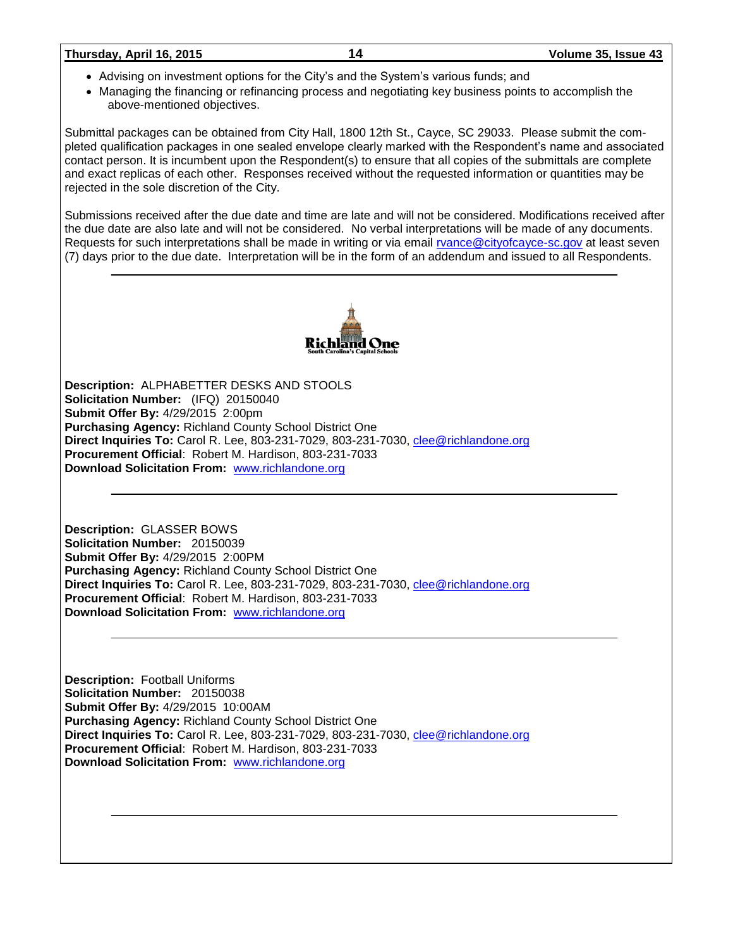#### **Thursday, April 16, 2015 14 Volume 35, Issue 43**

- Advising on investment options for the City's and the System's various funds; and
- Managing the financing or refinancing process and negotiating key business points to accomplish the above-mentioned objectives.

Submittal packages can be obtained from City Hall, 1800 12th St., Cayce, SC 29033. Please submit the completed qualification packages in one sealed envelope clearly marked with the Respondent's name and associated contact person. It is incumbent upon the Respondent(s) to ensure that all copies of the submittals are complete and exact replicas of each other. Responses received without the requested information or quantities may be rejected in the sole discretion of the City.

Submissions received after the due date and time are late and will not be considered. Modifications received after the due date are also late and will not be considered. No verbal interpretations will be made of any documents. Requests for such interpretations shall be made in writing or via email [rvance@cityofcayce-sc.gov](mailto:rvance@cityofcayce-sc.gov) at least seven (7) days prior to the due date. Interpretation will be in the form of an addendum and issued to all Respondents.



**Description:** ALPHABETTER DESKS AND STOOLS **Solicitation Number:** (IFQ) 20150040 **Submit Offer By:** 4/29/2015 2:00pm **Purchasing Agency:** Richland County School District One **Direct Inquiries To:** Carol R. Lee, 803-231-7029, 803-231-7030, [clee@richlandone.org](mailto:clee@richlandone.org) **Procurement Official**: Robert M. Hardison, 803-231-7033 **Download Solicitation From:** [www.richlandone.org](http://www.richlandone.org/)

**Description:** GLASSER BOWS **Solicitation Number:** 20150039 **Submit Offer By:** 4/29/2015 2:00PM **Purchasing Agency:** Richland County School District One **Direct Inquiries To:** Carol R. Lee, 803-231-7029, 803-231-7030, [clee@richlandone.org](mailto:clee@richlandone.org) **Procurement Official**: Robert M. Hardison, 803-231-7033 **Download Solicitation From:** [www.richlandone.org](http://www.richlandone.org/)

**Description:** Football Uniforms **Solicitation Number:** 20150038 **Submit Offer By:** 4/29/2015 10:00AM **Purchasing Agency:** Richland County School District One **Direct Inquiries To:** Carol R. Lee, 803-231-7029, 803-231-7030, [clee@richlandone.org](mailto:clee@richlandone.org) **Procurement Official**: Robert M. Hardison, 803-231-7033 **Download Solicitation From:** [www.richlandone.org](http://www.richlandone.org/)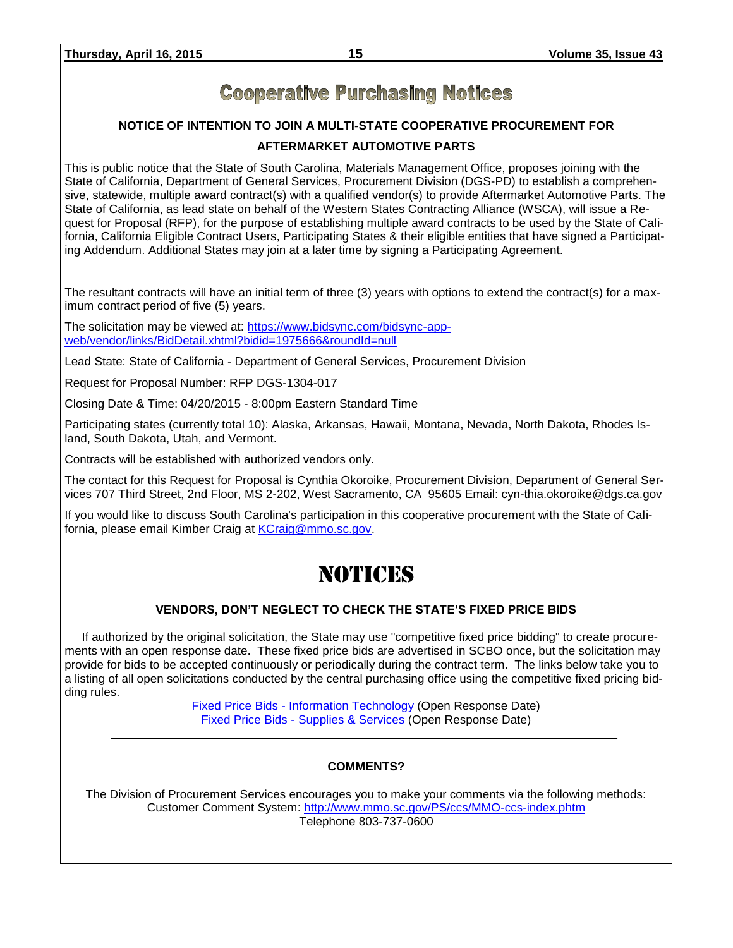# **Cooperative Purchasing Notices**

# **NOTICE OF INTENTION TO JOIN A MULTI-STATE COOPERATIVE PROCUREMENT FOR**

# **AFTERMARKET AUTOMOTIVE PARTS**

This is public notice that the State of South Carolina, Materials Management Office, proposes joining with the State of California, Department of General Services, Procurement Division (DGS-PD) to establish a comprehensive, statewide, multiple award contract(s) with a qualified vendor(s) to provide Aftermarket Automotive Parts. The State of California, as lead state on behalf of the Western States Contracting Alliance (WSCA), will issue a Request for Proposal (RFP), for the purpose of establishing multiple award contracts to be used by the State of California, California Eligible Contract Users, Participating States & their eligible entities that have signed a Participating Addendum. Additional States may join at a later time by signing a Participating Agreement.

The resultant contracts will have an initial term of three (3) years with options to extend the contract(s) for a maximum contract period of five (5) years.

The solicitation may be viewed at: [https://www.bidsync.com/bidsync-app](https://www.bidsync.com/bidsync-app-web/vendor/links/BidDetail.xhtml?bidid=1975666&roundId=null)[web/vendor/links/BidDetail.xhtml?bidid=1975666&roundId=null](https://www.bidsync.com/bidsync-app-web/vendor/links/BidDetail.xhtml?bidid=1975666&roundId=null) 

Lead State: State of California - Department of General Services, Procurement Division

Request for Proposal Number: RFP DGS-1304-017

Closing Date & Time: 04/20/2015 - 8:00pm Eastern Standard Time

Participating states (currently total 10): Alaska, Arkansas, Hawaii, Montana, Nevada, North Dakota, Rhodes Island, South Dakota, Utah, and Vermont.

Contracts will be established with authorized vendors only.

The contact for this Request for Proposal is Cynthia Okoroike, Procurement Division, Department of General Services 707 Third Street, 2nd Floor, MS 2-202, West Sacramento, CA 95605 Email: cyn-thia.okoroike@dgs.ca.gov

If you would like to discuss South Carolina's participation in this cooperative procurement with the State of California, please email Kimber Craig at [KCraig@mmo.sc.gov.](mailto:KCraig@mmo.sc.gov)

# NOTICES

# **VENDORS, DON'T NEGLECT TO CHECK THE STATE'S FIXED PRICE BIDS**

If authorized by the original solicitation, the State may use "competitive fixed price bidding" to create procurements with an open response date. These fixed price bids are advertised in SCBO once, but the solicitation may provide for bids to be accepted continuously or periodically during the contract term. The links below take you to a listing of all open solicitations conducted by the central purchasing office using the competitive fixed pricing bidding rules.

> Fixed Price Bids - [Information Technology](http://www.mmo.sc.gov/PS/vendor/PS-vendor-fixed-price-bids-it.phtm) (Open Response Date) Fixed Price Bids - [Supplies & Services](http://www.mmo.sc.gov/PS/vendor/PS-vendor-fixed-price-bids-ss.phtm) (Open Response Date)

# **COMMENTS?**

The Division of Procurement Services encourages you to make your comments via the following methods: Customer Comment System:<http://www.mmo.sc.gov/PS/ccs/MMO-ccs-index.phtm> Telephone 803-737-0600